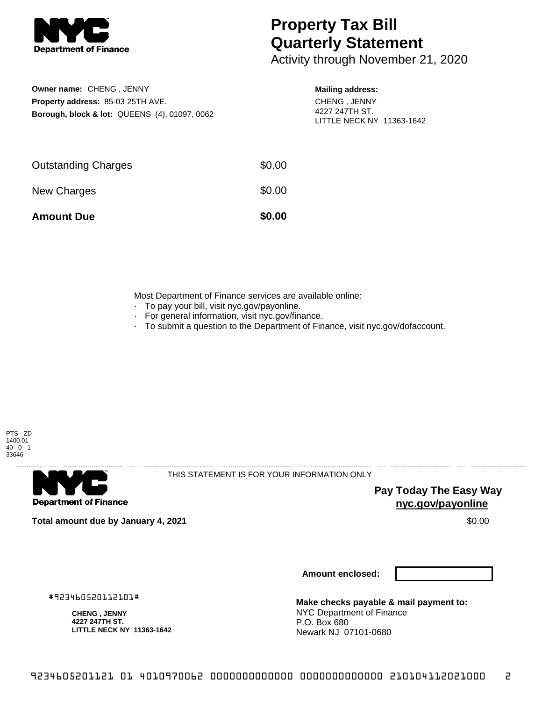

## **Property Tax Bill Quarterly Statement**

Activity through November 21, 2020

**Owner name:** CHENG , JENNY **Property address:** 85-03 25TH AVE. **Borough, block & lot:** QUEENS (4), 01097, 0062

## **Mailing address:**

CHENG , JENNY 4227 247TH ST. LITTLE NECK NY 11363-1642

| <b>Amount Due</b>          | \$0.00 |
|----------------------------|--------|
| New Charges                | \$0.00 |
| <b>Outstanding Charges</b> | \$0.00 |

Most Department of Finance services are available online:

- · To pay your bill, visit nyc.gov/payonline.
- For general information, visit nyc.gov/finance.
- · To submit a question to the Department of Finance, visit nyc.gov/dofaccount.





THIS STATEMENT IS FOR YOUR INFORMATION ONLY

**Pay Today The Easy Way nyc.gov/payonline**

**Total amount due by January 4, 2021** \$0.00

**Amount enclosed:**

#923460520112101#

**CHENG , JENNY 4227 247TH ST. LITTLE NECK NY 11363-1642**

**Make checks payable & mail payment to:** NYC Department of Finance P.O. Box 680 Newark NJ 07101-0680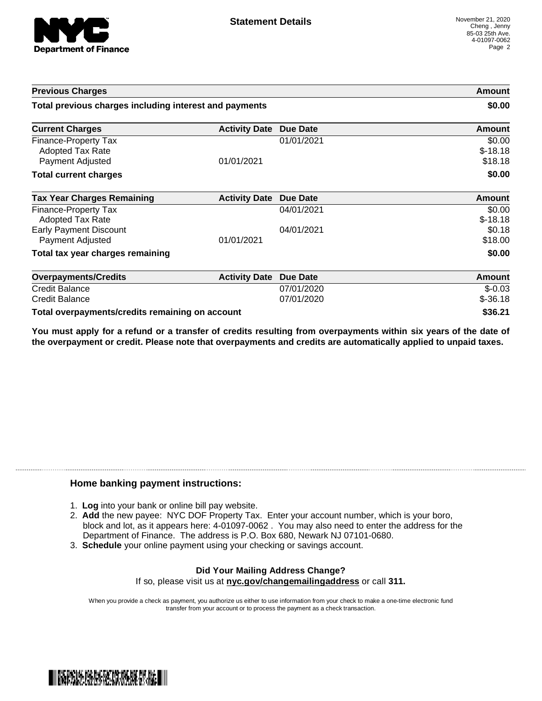

| <b>Previous Charges</b>                                             |                      | <b>Amount</b><br>\$0.00  |                                |
|---------------------------------------------------------------------|----------------------|--------------------------|--------------------------------|
| Total previous charges including interest and payments              |                      |                          |                                |
| <b>Current Charges</b>                                              | <b>Activity Date</b> | <b>Due Date</b>          | <b>Amount</b>                  |
| Finance-Property Tax<br><b>Adopted Tax Rate</b><br>Payment Adjusted | 01/01/2021           | 01/01/2021               | \$0.00<br>$$-18.18$<br>\$18.18 |
| <b>Total current charges</b>                                        |                      |                          | \$0.00                         |
| <b>Tax Year Charges Remaining</b>                                   | <b>Activity Date</b> | <b>Due Date</b>          | <b>Amount</b>                  |
| Finance-Property Tax<br><b>Adopted Tax Rate</b>                     |                      | 04/01/2021               | \$0.00<br>$$-18.18$            |
| <b>Early Payment Discount</b><br>Payment Adjusted                   | 01/01/2021           | 04/01/2021               | \$0.18<br>\$18.00              |
| Total tax year charges remaining                                    |                      |                          | \$0.00                         |
| <b>Overpayments/Credits</b>                                         | <b>Activity Date</b> | <b>Due Date</b>          | Amount                         |
| <b>Credit Balance</b><br><b>Credit Balance</b>                      |                      | 07/01/2020<br>07/01/2020 | $$-0.03$<br>$$-36.18$          |
| Total overpayments/credits remaining on account                     |                      |                          | \$36.21                        |

You must apply for a refund or a transfer of credits resulting from overpayments within six years of the date of **the overpayment or credit. Please note that overpayments and credits are automatically applied to unpaid taxes.**

## **Home banking payment instructions:**

- 1. **Log** into your bank or online bill pay website.
- 2. **Add** the new payee: NYC DOF Property Tax. Enter your account number, which is your boro, block and lot, as it appears here: 4-01097-0062 . You may also need to enter the address for the Department of Finance. The address is P.O. Box 680, Newark NJ 07101-0680.
- 3. **Schedule** your online payment using your checking or savings account.

## **Did Your Mailing Address Change?** If so, please visit us at **nyc.gov/changemailingaddress** or call **311.**

When you provide a check as payment, you authorize us either to use information from your check to make a one-time electronic fund transfer from your account or to process the payment as a check transaction.